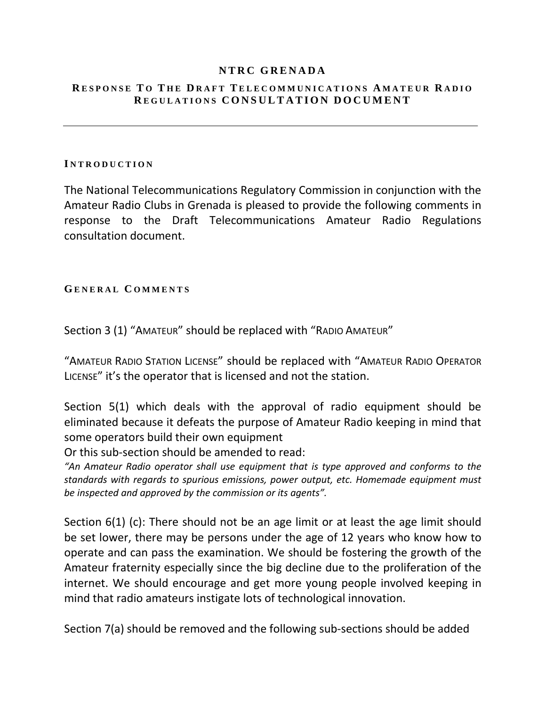### **NTRC GRENADA**

### **R ESPONSE T O T H E D RAFT TELECOMMUNICATIONS A MATEUR R ADIO R EGULATIONS CONSULTATION DOCUMENT**

#### **I NTRODUCTION**

The National Telecommunications Regulatory Commission in conjunction with the Amateur Radio Clubs in Grenada is pleased to provide the following comments in response to the Draft Telecommunications Amateur Radio Regulations consultation document.

### **G ENERAL C OMMENTS**

Section 3 (1) "AMATEUR" should be replaced with "RADIO AMATEUR"

"AMATEUR RADIO STATION LICENSE" should be replaced with "AMATEUR RADIO OPERATOR LICENSE" it's the operator that is licensed and not the station.

Section 5(1) which deals with the approval of radio equipment should be eliminated because it defeats the purpose of Amateur Radio keeping in mind that some operators build their own equipment

Or this sub-section should be amended to read:

*"An Amateur Radio operator shall use equipment that is type approved and conforms to the standards with regards to spurious emissions, power output, etc. Homemade equipment must be inspected and approved by the commission or its agents".*

Section 6(1) (c): There should not be an age limit or at least the age limit should be set lower, there may be persons under the age of 12 years who know how to operate and can pass the examination. We should be fostering the growth of the Amateur fraternity especially since the big decline due to the proliferation of the internet. We should encourage and get more young people involved keeping in mind that radio amateurs instigate lots of technological innovation.

Section 7(a) should be removed and the following sub-sections should be added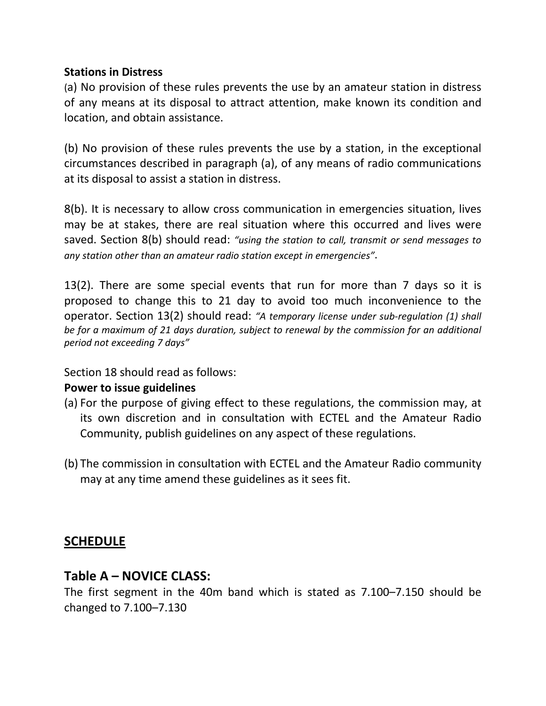### **Stations in Distress**

(a) No provision of these rules prevents the use by an amateur station in distress of any means at its disposal to attract attention, make known its condition and location, and obtain assistance.

(b) No provision of these rules prevents the use by a station, in the exceptional circumstances described in paragraph (a), of any means of radio communications at its disposal to assist a station in distress.

8(b). It is necessary to allow cross communication in emergencies situation, lives may be at stakes, there are real situation where this occurred and lives were saved. Section 8(b) should read: *"using the station to call, transmit or send messages to any station other than an amateur radio station except in emergencies"*.

13(2). There are some special events that run for more than 7 days so it is proposed to change this to 21 day to avoid too much inconvenience to the operator. Section 13(2) should read: *"A temporary license under sub-regulation (1) shall be for a maximum of 21 days duration, subject to renewal by the commission for an additional period not exceeding 7 days"*

Section 18 should read as follows:

## **Power to issue guidelines**

- (a) For the purpose of giving effect to these regulations, the commission may, at its own discretion and in consultation with ECTEL and the Amateur Radio Community, publish guidelines on any aspect of these regulations.
- (b) The commission in consultation with ECTEL and the Amateur Radio community may at any time amend these guidelines as it sees fit.

## **SCHEDULE**

## **Table A – NOVICE CLASS:**

The first segment in the 40m band which is stated as 7.100–7.150 should be changed to 7.100–7.130